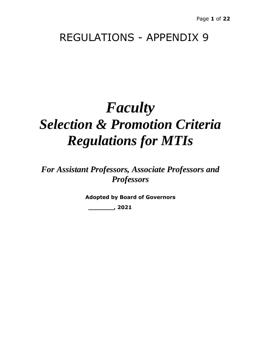# REGULATIONS - APPENDIX 9

# *Faculty Selection & Promotion Criteria Regulations for MTIs*

*For Assistant Professors, Associate Professors and Professors*

**Adopted by Board of Governors** 

 **\_\_\_\_\_\_\_, 2021**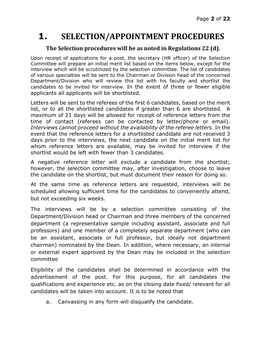# **1. SELECTION/APPOINTMENT PROCEDURES**

#### **The Selection procedures will be as noted in Regulations 22 (d).**

Upon receipt of applications for a post, the secretary (HR officer) of the Selection Committee will prepare an initial merit list based on the items below, except for the interview which will be scrutinized by the selection committee. The list of candidates of various specialties will be sent to the Chairman or Division head of the concerned Department/Division who will review this list with his faculty and shortlist the candidates to be invited for interview. In the event of three or fewer eligible applicants all applicants will be shortlisted.

Letters will be sent to the referees of the first 6 candidates, based on the merit list, or to all the shortlisted candidates if greater than 6 are shortlisted. A maximum of 21 days will be allowed for receipt of reference letters from the time of contact (referees can be contacted by letter/phone or email). *Interviews cannot proceed without the availability of the referee letters.* In the event that the reference letters for a shortlisted candidate are not received 3 days prior to the interviews, the next candidate on the initial merit list for whom reference letters are available, may be invited for interview if the shortlist would be left with fewer than 3 candidates.

A negative reference letter will exclude a candidate from the shortlist; however, the selection committee may, after investigation, choose to leave the candidate on the shortlist, but must document their reason for doing so.

At the same time as reference letters are requested, interviews will be scheduled allowing sufficient time for the candidates to conveniently attend, but not exceeding six weeks.

The interviews will be by a selection committee consisting of the Department/Division head or Chairman and three members of the concerned department (a representative sample including assistant, associate and full professors) and one member of a completely separate department (who can be an assistant, associate or full professor, but ideally not department chairman) nominated by the Dean. In addition, where necessary, an internal or external expert approved by the Dean may be included in the selection committee

Eligibility of the candidates shall be determined in accordance with the advertisement of the post. For this purpose, for all candidates the qualifications and experience etc. as on the closing date fixed/ relevant for all candidates will be taken into account. It is to be noted that

a. Canvassing in any form will disqualify the candidate.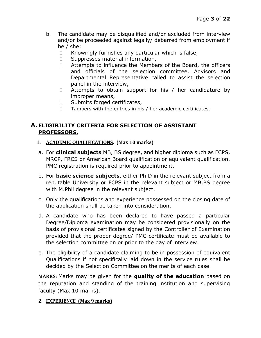- b. The candidate may be disqualified and/or excluded from interview and/or be proceeded against legally/ debarred from employment if he / she:
	- $\Box$  Knowingly furnishes any particular which is false,
	- $\square$  Suppresses material information,
	- □ Attempts to influence the Members of the Board, the officers and officials of the selection committee, Advisors and Departmental Representative called to assist the selection panel in the interview,
	- $\Box$  Attempts to obtain support for his / her candidature by improper means,
	- $\Box$  Submits forged certificates,
	- $\Box$  Tampers with the entries in his / her academic certificates.

## **A.ELIGIBILITY CRITERIA FOR SELECTION OF ASSISTANT PROFESSORS.**

#### **1. ACADEMIC QUALIFICATIONS. (Max 10 marks)**

- a. For **clinical subjects** MB, BS degree, and higher diploma such as FCPS, MRCP, FRCS or American Board qualification or equivalent qualification. PMC registration is required prior to appointment.
- b. For **basic science subjects**, either Ph.D in the relevant subject from a reputable University or FCPS in the relevant subject or MB,BS degree with M.Phil degree in the relevant subject.
- c. Only the qualifications and experience possessed on the closing date of the application shall be taken into consideration.
- d. A candidate who has been declared to have passed a particular Degree/Diploma examination may be considered provisionally on the basis of provisional certificates signed by the Controller of Examination provided that the proper degree/ PMC certificate must be available to the selection committee on or prior to the day of interview.
- e. The eligibility of a candidate claiming to be in possession of equivalent Qualifications if not specifically laid down in the service rules shall be decided by the Selection Committee on the merits of each case.

**MARKS:** Marks may be given for the **quality of the education** based on the reputation and standing of the training institution and supervising faculty (Max 10 marks).

#### **2. EXPERIENCE (Max 9 marks)**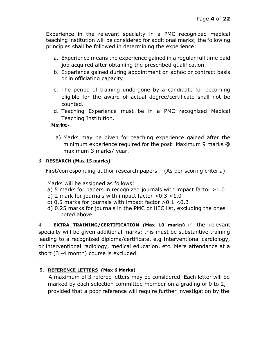Experience in the relevant specialty in a PMC recognized medical teaching institution will be considered for additional marks; the following principles shall be followed in determining the experience:

- a. Experience means the experience gained in a regular full time paid job acquired after obtaining the prescribed qualification.
- b. Experience gained during appointment on adhoc or contract basis or in officiating capacity
- c. The period of training undergone by a candidate for becoming eligible for the award of actual degree/certificate shall not be counted.
- d. Teaching Experience must be in a PMC recognized Medical Teaching Institution.

#### **Marks:-**

**4.**

a) Marks may be given for teaching experience gained after the minimum experience required for the post: Maximum 9 marks @ maximum 3 marks/ year.

#### **3. RESEARCH (Max 15 marks)**

First/corresponding author research papers – (As per scoring criteria)

Marks will be assigned as follows:

- a) 5 marks for papers in recognized journals with impact factor  $>1.0$
- b) 2 mark for journals with impact factor  $>0.3$  <1.0
- c) 0.5 marks for journals with impact factor  $>0.1$  <0.3
- d) 0.25 marks for journals in the PMC or HEC list, excluding the ones noted above.

**4. EXTRA TRAINING/CERTIFICATION (Max 10 marks)** in the relevant specialty will be given additional marks; this must be substantive training leading to a recognized diploma/certificate, e.g Interventional cardiology, or interventional radiology, medical education, etc. Mere attendance at a short (3 -4 month) course is excluded.

# **5**. **REFERENCE LETTERS (Max 6 Marks)**

 A maximum of 3 referee letters may be considered. Each letter will be marked by each selection committee member on a grading of 0 to 2, provided that a poor reference will require further investigation by the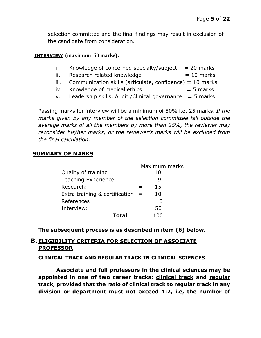selection committee and the final findings may result in exclusion of the candidate from consideration.

#### **INTERVIEW (maximum 50 marks):**

- i. Knowledge of concerned specialty/subject **=** 20 marks
- ii. Research related knowledge **=** 10 marks
- iii. Communication skills (articulate, confidence) **=** 10 marks
- iv. Knowledge of medical ethics **=** 5 marks
- v. Leadership skills, Audit /Clinical governance **=** 5 marks

Passing marks for interview will be a minimum of 50% i.e. 25 marks. *If the marks given by any member of the selection committee fall outside the average marks of all the members by more than 25%, the reviewer may reconsider his/her marks, or the reviewer's marks will be excluded from the final calculation.*

#### **SUMMARY OF MARKS**

|                                    | Maximum marks |  |
|------------------------------------|---------------|--|
| Quality of training                | 10            |  |
| <b>Teaching Experience</b>         |               |  |
| Research:                          | 15            |  |
| Extra training & certification $=$ | 10            |  |
| References                         |               |  |
| Interview:                         | 50            |  |
|                                    |               |  |

**The subsequent process is as described in item (6) below.**

#### **B. ELIGIBILITY CRITERIA FOR SELECTION OF ASSOCIATE PROFESSOR**

#### **CLINICAL TRACK AND REGULAR TRACK IN CLINICAL SCIENCES**

 **Associate and full professors in the clinical sciences may be appointed in one of two career tracks: clinical track and regular track, provided that the ratio of clinical track to regular track in any division or department must not exceed 1:2, i.e, the number of**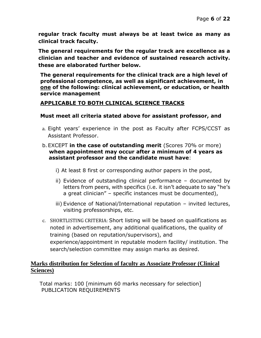**regular track faculty must always be at least twice as many as clinical track faculty.**

**The general requirements for the regular track are excellence as a clinician and teacher and evidence of sustained research activity. these are elaborated further below.**

**The general requirements for the clinical track are a high level of professional competence, as well as significant achievement, in one of the following: clinical achievement, or education, or health service management** 

#### **APPLICABLE TO BOTH CLINICAL SCIENCE TRACKS**

#### **Must meet all criteria stated above for assistant professor, and**

- a. Eight years' experience in the post as Faculty after FCPS/CCST as Assistant Professor.
- b.EXCEPT **in the case of outstanding merit** (Scores 70% or more) **when appointment may occur after a minimum of 4 years as assistant professor and the candidate must have**:
	- i) At least 8 first or corresponding author papers in the post,
	- ii) Evidence of outstanding clinical performance documented by letters from peers, with specifics (i.e. it isn't adequate to say "he's a great clinician" – specific instances must be documented),
	- iii) Evidence of National/International reputation invited lectures, visiting professorships, etc.
- c. SHORTLISTING CRITERIA: Short listing will be based on qualifications as noted in advertisement, any additional qualifications, the quality of training (based on reputation/supervisors), and experience/appointment in reputable modern facility/ institution. The search/selection committee may assign marks as desired.

#### **Marks distribution for Selection of faculty as Associate Professor (Clinical Sciences)**

 Total marks: 100 [minimum 60 marks necessary for selection] PUBLICATION REQUIREMENTS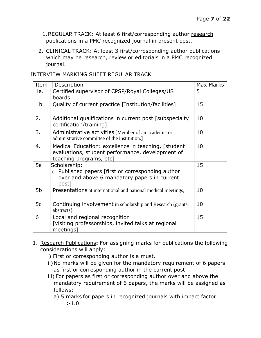- 1.REGULAR TRACK: At least 6 first/corresponding author research publications in a PMC recognized journal in present post,
- 2. CLINICAL TRACK: At least 3 first/corresponding author publications which may be research, review or editorials in a PMC recognized journal.

INTERVIEW MARKING SHEET REGULAR TRACK

| Item | Description                                                                                                                         | Max Marks |
|------|-------------------------------------------------------------------------------------------------------------------------------------|-----------|
| 1a.  | Certified supervisor of CPSP/Royal Colleges/US<br>boards                                                                            | 5         |
| b    | Quality of current practice [Institution/facilities]                                                                                | 15        |
| 2.   | Additional qualifications in current post [subspecialty]<br>certification/training]                                                 | 10        |
| 3.   | Administrative activities [Member of an academic or<br>administrative committee of the institution.]                                | 10        |
| 4.   | Medical Education: excellence in teaching, [student]<br>evaluations, student performance, development of<br>teaching programs, etc] | 10        |
| 5a   | Scholarship:<br>a) Published papers [first or corresponding author<br>over and above 6 mandatory papers in current<br>post]         | 15        |
| 5b   | Presentations at international and national medical meetings,                                                                       | 10        |
| 5c   | Continuing involvement in scholarship and Research (grants,<br>abstracts }                                                          | 10        |
| 6    | Local and regional recognition<br>[visiting professorships, invited talks at regional<br>meetings]                                  | 15        |

- 1. Research Publications**:** For assigning marks for publications the following considerations will apply:
	- i) First or corresponding author is a must.
	- ii)No marks will be given for the mandatory requirement of 6 papers as first or corresponding author in the current post
	- iii) For papers as first or corresponding author over and above the mandatory requirement of 6 papers, the marks will be assigned as follows:
		- a) 5 marks for papers in recognized journals with impact factor  $>1.0$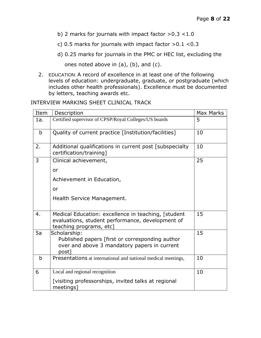- b) 2 marks for journals with impact factor  $>0.3$  <1.0
- c) 0.5 marks for journals with impact factor >0.1 <0.3
- d) 0.25 marks for journals in the PMC or HEC list, excluding the

ones noted above in (a), (b), and (c).

2. EDUCATION: A record of excellence in at least one of the following levels of education: undergraduate, graduate, or postgraduate (which includes other health professionals). Excellence must be documented by letters, teaching awards etc.

INTERVIEW MARKING SHEET CLINICAL TRACK

| Item        | Description                                                                                                                         | Max Marks |
|-------------|-------------------------------------------------------------------------------------------------------------------------------------|-----------|
| 1a.         | Certified supervisor of CPSP/Royal Colleges/US boards                                                                               | 5         |
| $\mathbf b$ | Quality of current practice [Institution/facilities]                                                                                | 10        |
| 2.          | Additional qualifications in current post [subspecialty<br>certification/training]                                                  | 10        |
| 3           | Clinical achievement,                                                                                                               | 25        |
|             | or                                                                                                                                  |           |
|             | Achievement in Education,                                                                                                           |           |
|             | or                                                                                                                                  |           |
|             | Health Service Management.                                                                                                          |           |
|             |                                                                                                                                     |           |
| 4.          | Medical Education: excellence in teaching, [student]<br>evaluations, student performance, development of<br>teaching programs, etc] | 15        |
| 5a          | Scholarship:                                                                                                                        | 15        |
|             | Published papers [first or corresponding author<br>over and above 3 mandatory papers in current                                     |           |
|             | post]                                                                                                                               |           |
| $\mathbf b$ | Presentations at international and national medical meetings,                                                                       | 10        |
| 6           | Local and regional recognition                                                                                                      | 10        |
|             | [visiting professorships, invited talks at regional<br>meetings]                                                                    |           |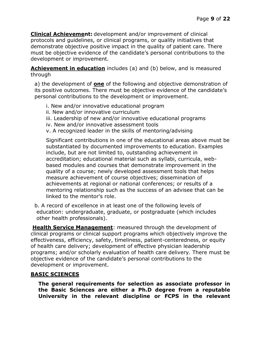**Clinical Achievement:** development and/or improvement of clinical protocols and guidelines, or clinical programs, or quality initiatives that demonstrate objective positive impact in the quality of patient care. There must be objective evidence of the candidate's personal contributions to the development or improvement.

**Achievement in education** includes (a) and (b) below, and is measured through

a) the development of **one** of the following and objective demonstration of its positive outcomes. There must be objective evidence of the candidate's personal contributions to the development or improvement.

i. New and/or innovative educational program ii. New and/or innovative curriculum iii. Leadership of new and/or innovative educational programs iv. New and/or innovative assessment tools v. A recognized leader in the skills of mentoring/advising

Significant contributions in one of the educational areas above must be substantiated by documented improvements to education. Examples include, but are not limited to, outstanding achievement in accreditation; educational material such as syllabi, curricula, webbased modules and courses that demonstrate improvement in the quality of a course; newly developed assessment tools that helps measure achievement of course objectives; dissemination of achievements at regional or national conferences; or results of a mentoring relationship such as the success of an advisee that can be linked to the mentor's role.

b. A record of excellence in at least one of the following levels of education: undergraduate, graduate, or postgraduate (which includes other health professionals).

**Health Service Management**: measured through the development of clinical programs or clinical support programs which objectively improve the effectiveness, efficiency, safety, timeliness, patient-centeredness, or equity of health care delivery; development of effective physician leadership programs; and/or scholarly evaluation of health care delivery. There must be objective evidence of the candidate's personal contributions to the development or improvement.

#### **BASIC SCIENCES**

**The general requirements for selection as associate professor in the Basic Sciences are either a Ph.D degree from a reputable University in the relevant discipline or FCPS in the relevant**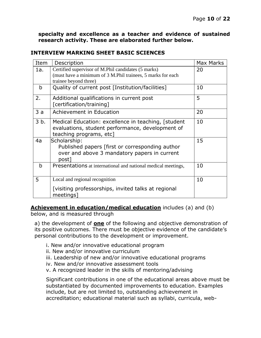**specialty and excellence as a teacher and evidence of sustained research activity. These are elaborated further below.**

#### **INTERVIEW MARKING SHEET BASIC SCIENCES**

| Item        | Description                                                                                                                                 | <b>Max Marks</b> |
|-------------|---------------------------------------------------------------------------------------------------------------------------------------------|------------------|
| 1a.         | Certified supervisor of M.Phil candidates (5 marks)<br>(must have a minimum of 3 M.Phil trainees, 5 marks for each<br>trainee beyond three) | 20               |
| b           | Quality of current post [Institution/facilities]                                                                                            | 10               |
| 2.          | Additional qualifications in current post<br>[certification/training]                                                                       | 5                |
| 3a          | Achievement in Education                                                                                                                    | 20               |
| 3 b.        | Medical Education: excellence in teaching, [student]<br>evaluations, student performance, development of<br>teaching programs, etc]         | 10               |
| 4a          | Scholarship:<br>Published papers [first or corresponding author<br>over and above 3 mandatory papers in current<br>post]                    | 15               |
| $\mathbf b$ | Presentations at international and national medical meetings,                                                                               | 10               |
| 5           | Local and regional recognition<br>[visiting professorships, invited talks at regional<br>meetings]                                          | 10               |

**Achievement in education/medical education** includes (a) and (b)

below, and is measured through

a) the development of **one** of the following and objective demonstration of its positive outcomes. There must be objective evidence of the candidate's personal contributions to the development or improvement.

- i. New and/or innovative educational program
- ii. New and/or innovative curriculum
- iii. Leadership of new and/or innovative educational programs
- iv. New and/or innovative assessment tools
- v. A recognized leader in the skills of mentoring/advising

Significant contributions in one of the educational areas above must be substantiated by documented improvements to education. Examples include, but are not limited to, outstanding achievement in accreditation; educational material such as syllabi, curricula, web-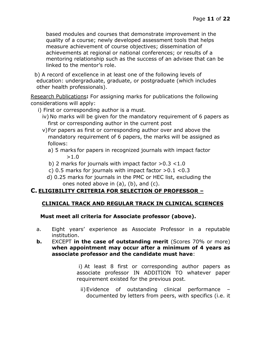based modules and courses that demonstrate improvement in the quality of a course; newly developed assessment tools that helps measure achievement of course objectives; dissemination of achievements at regional or national conferences; or results of a mentoring relationship such as the success of an advisee that can be linked to the mentor's role.

b) A record of excellence in at least one of the following levels of education: undergraduate, graduate, or postgraduate (which includes other health professionals).

Research Publications**:** For assigning marks for publications the following considerations will apply:

- i) First or corresponding author is a must.
	- iv) No marks will be given for the mandatory requirement of 6 papers as first or corresponding author in the current post
	- v)For papers as first or corresponding author over and above the mandatory requirement of 6 papers, the marks will be assigned as follows:
		- a) 5 marks for papers in recognized journals with impact factor >1.0
		- b) 2 marks for journals with impact factor >0.3 <1.0
		- c) 0.5 marks for journals with impact factor  $>0.1$  <0.3
		- d) 0.25 marks for journals in the PMC or HEC list, excluding the ones noted above in (a), (b), and (c).

# **C. ELIGIBILITY CRITERIA FOR SELECTION OF PROFESSOR –**

### **CLINICAL TRACK AND REGULAR TRACK IN CLINICAL SCIENCES**

#### **Must meet all criteria for Associate professor (above).**

- a. Eight years' experience as Associate Professor in a reputable institution.
- **b.** EXCEPT **in the case of outstanding merit** (Scores 70% or more) **when appointment may occur after a minimum of 4 years as associate professor and the candidate must have**:

i) At least 8 first or corresponding author papers as associate professor IN ADDITION TO whatever paper requirement existed for the previous post.

ii)Evidence of outstanding clinical performance – documented by letters from peers, with specifics (i.e. it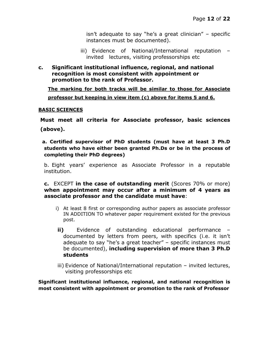isn't adequate to say "he's a great clinician" – specific instances must be documented).

- iii) Evidence of National/International reputation invited lectures, visiting professorships etc
- **c. Significant institutional influence, regional, and national recognition is most consistent with appointment or promotion to the rank of Professor.**

**The marking for both tracks will be similar to those for Associate professor but keeping in view item (c) above for items 5 and 6.**

#### **BASIC SCIENCES**

**Must meet all criteria for Associate professor, basic sciences (above).**

**a. Certified supervisor of PhD students (must have at least 3 Ph.D students who have either been granted Ph.Ds or be in the process of completing their PhD degrees)**

b. Eight years' experience as Associate Professor in a reputable institution.

#### **c.** EXCEPT **in the case of outstanding merit** (Scores 70% or more) **when appointment may occur after a minimum of 4 years as associate professor and the candidate must have**:

- i) At least 8 first or corresponding author papers as associate professor IN ADDITION TO whatever paper requirement existed for the previous post.
- **ii)** Evidence of outstanding educational performance documented by letters from peers, with specifics (i.e. it isn't adequate to say "he's a great teacher" – specific instances must be documented), **including supervision of more than 3 Ph.D students**
- iii) Evidence of National/International reputation invited lectures, visiting professorships etc

**Significant institutional influence, regional, and national recognition is most consistent with appointment or promotion to the rank of Professor**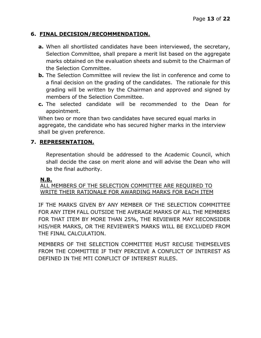#### **6. FINAL DECISION/RECOMMENDATION.**

- **a.** When all shortlisted candidates have been interviewed, the secretary, Selection Committee, shall prepare a merit list based on the aggregate marks obtained on the evaluation sheets and submit to the Chairman of the Selection Committee.
- **b.** The Selection Committee will review the list in conference and come to a final decision on the grading of the candidates. The rationale for this grading will be written by the Chairman and approved and signed by members of the Selection Committee.
- **c.** The selected candidate will be recommended to the Dean for appointment.

When two or more than two candidates have secured equal marks in aggregate, the candidate who has secured higher marks in the interview shall be given preference.

#### **7. REPRESENTATION.**

Representation should be addressed to the Academic Council, which shall decide the case on merit alone and will advise the Dean who will be the final authority.

#### **N.B.**

#### ALL MEMBERS OF THE SELECTION COMMITTEE ARE REQUIRED TO WRITE THEIR RATIONALE FOR AWARDING MARKS FOR EACH ITEM

IF THE MARKS GIVEN BY ANY MEMBER OF THE SELECTION COMMITTEE FOR ANY ITEM FALL OUTSIDE THE AVERAGE MARKS OF ALL THE MEMBERS FOR THAT ITEM BY MORE THAN 25%, THE REVIEWER MAY RECONSIDER HIS/HER MARKS, OR THE REVIEWER'S MARKS WILL BE EXCLUDED FROM THE FINAL CALCULATION.

MEMBERS OF THE SELECTION COMMITTEE MUST RECUSE THEMSELVES FROM THE COMMITTEE IF THEY PERCEIVE A CONFLICT OF INTEREST AS DEFINED IN THE MTI CONFLICT OF INTEREST RULES.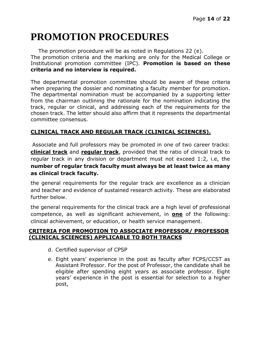# **PROMOTION PROCEDURES**

The promotion procedure will be as noted in Regulations 22 (e). The promotion criteria and the marking are only for the Medical College or Institutional promotion committee (IPC). **Promotion is based on these criteria and no interview is required.**

The departmental promotion committee should be aware of these criteria when preparing the dossier and nominating a faculty member for promotion. The departmental nomination must be accompanied by a supporting letter from the chairman outlining the rationale for the nomination indicating the track, regular or clinical, and addressing each of the requirements for the chosen track. The letter should also affirm that it represents the departmental committee consensus.

# **CLINICAL TRACK AND REGULAR TRACK (CLINICAL SCIENCES).**

Associate and full professors may be promoted in one of two career tracks: **clinical track** and **regular track**, provided that the ratio of clinical track to regular track in any division or department must not exceed 1:2, i.e, the **number of regular track faculty must always be at least twice as many as clinical track faculty.**

the general requirements for the regular track are excellence as a clinician and teacher and evidence of sustained research activity. These are elaborated further below.

the general requirements for the clinical track are a high level of professional competence, as well as significant achievement, in **one** of the following: clinical achievement, or education, or health service management.

#### **CRITERIA FOR PROMOTION TO ASSOCIATE PROFESSOR/ PROFESSOR (CLINICAL SCIENCES) APPLICABLE TO BOTH TRACKS**

- d. Certified supervisor of CPSP
- e. Eight years' experience in the post as faculty after FCPS/CCST as Assistant Professor. For the post of Professor, the candidate shall be eligible after spending eight years as associate professor. Eight years' experience in the post is essential for selection to a higher post,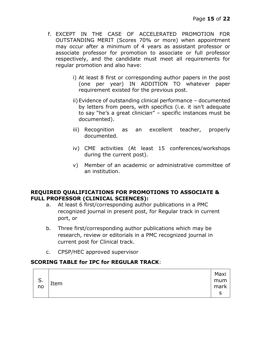- f. EXCEPT IN THE CASE OF ACCELERATED PROMOTION FOR OUTSTANDING MERIT (Scores 70% or more) when appointment may occur after a minimum of 4 years as assistant professor or associate professor for promotion to associate or full professor respectively, and the candidate must meet all requirements for regular promotion and also have:
	- i) At least 8 first or corresponding author papers in the post (one per year) IN ADDITION TO whatever paper requirement existed for the previous post.
	- ii)Evidence of outstanding clinical performance documented by letters from peers, with specifics (i.e. it isn't adequate to say "he's a great clinician" – specific instances must be documented).
	- iii) Recognition as an excellent teacher, properly documented.
	- iv) CME activities (At least 15 conferences/workshops during the current post).
	- v) Member of an academic or administrative committee of an institution.

#### **REQUIRED QUALIFICATIONS FOR PROMOTIONS TO ASSOCIATE & FULL PROFESSOR (CLINICAL SCIENCES):**

- a. At least 6 first/corresponding author publications in a PMC recognized journal in present post, for Regular track in current port, or
- b. Three first/corresponding author publications which may be research, review or editorials in a PMC recognized journal in current post for Clinical track.
- c. CPSP/HEC approved supervisor

#### **SCORING TABLE for IPC for REGULAR TRACK**:

|              |      | Maxi |
|--------------|------|------|
| $\sim$<br>5. | Item | mum  |
| no           |      | mark |
|              |      | ∼    |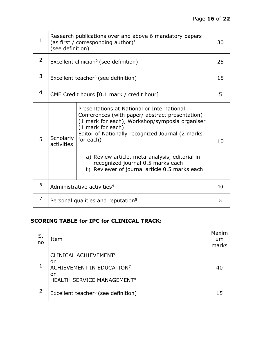| 1              | Research publications over and above 6 mandatory papers<br>(as first / corresponding author) $1$<br>(see definition) |                                                                                                                                                                                                                                       |    |
|----------------|----------------------------------------------------------------------------------------------------------------------|---------------------------------------------------------------------------------------------------------------------------------------------------------------------------------------------------------------------------------------|----|
| 2              | Excellent clinician <sup>2</sup> (see definition)                                                                    |                                                                                                                                                                                                                                       |    |
| 3              | Excellent teacher <sup>3</sup> (see definition)                                                                      |                                                                                                                                                                                                                                       |    |
| $\overline{4}$ | CME Credit hours [0.1 mark / credit hour]                                                                            |                                                                                                                                                                                                                                       |    |
| 5              | Scholarly<br>activities                                                                                              | Presentations at National or International<br>Conferences (with paper/ abstract presentation)<br>(1 mark for each), Workshop/symposia organiser<br>(1 mark for each)<br>Editor of Nationally recognized Journal (2 marks<br>for each) | 10 |
|                |                                                                                                                      | a) Review article, meta-analysis, editorial in<br>recognized journal 0.5 marks each<br>b) Reviewer of journal article 0.5 marks each                                                                                                  |    |
| 6              | Administrative activities <sup>4</sup>                                                                               |                                                                                                                                                                                                                                       |    |
| $\overline{7}$ | Personal qualities and reputation <sup>5</sup>                                                                       |                                                                                                                                                                                                                                       |    |

# **SCORING TABLE for IPC for CLINICAL TRACK:**

| S.<br>no | Item                                                                                                                             | Maxim<br>um<br>marks |
|----------|----------------------------------------------------------------------------------------------------------------------------------|----------------------|
|          | CLINICAL ACHIEVEMENT <sup>6</sup><br>or<br>ACHIEVEMENT IN EDUCATION <sup>7</sup><br>or<br>HEALTH SERVICE MANAGEMENT <sup>8</sup> | 40                   |
| 2        | Excellent teacher <sup>3</sup> (see definition)                                                                                  | 15                   |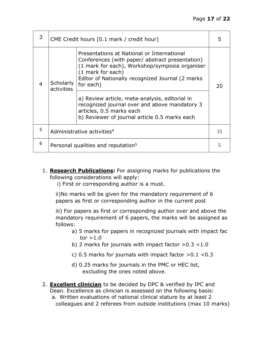| 3              | CME Credit hours [0.1 mark / credit hour]      |                                                                                                                                                                                                                                                                                                                                                                                                                       | 5  |
|----------------|------------------------------------------------|-----------------------------------------------------------------------------------------------------------------------------------------------------------------------------------------------------------------------------------------------------------------------------------------------------------------------------------------------------------------------------------------------------------------------|----|
| $\overline{4}$ | Scholarly<br>activities                        | Presentations at National or International<br>Conferences (with paper/ abstract presentation)<br>(1 mark for each), Workshop/symposia organiser<br>(1 mark for each)<br>Editor of Nationally recognized Journal (2 marks<br>for each)<br>a) Review article, meta-analysis, editorial in<br>recognized journal over and above mandatory 3<br>articles, 0.5 marks each<br>b) Reviewer of journal article 0.5 marks each | 20 |
| 5              | Administrative activities <sup>4</sup>         |                                                                                                                                                                                                                                                                                                                                                                                                                       | 15 |
| 6              | Personal qualities and reputation <sup>5</sup> |                                                                                                                                                                                                                                                                                                                                                                                                                       | 5  |

- 1. **Research Publications:** For assigning marks for publications the following considerations will apply:
	- i) First or corresponding author is a must.

ii)No marks will be given for the mandatory requirement of 6 papers as first or corresponding author in the current post

iii) For papers as first or corresponding author over and above the mandatory requirement of 6 papers, the marks will be assigned as follows:

- a) 5 marks for papers in recognized journals with impact fac tor  $>1.0$
- b) 2 marks for journals with impact factor  $>0.3$  < 1.0
- c) 0.5 marks for journals with impact factor  $>0.1$  <0.3
- d) 0.25 marks for journals in the PMC or HEC list, excluding the ones noted above.
- 2. **Excellent clinician** to be decided by DPC & verified by IPC and Dean. Excellence as clinician is assessed on the following basis: a. Written evaluations of national clinical stature by at least 2 colleagues and 2 referees from outside institutions (max 10 marks)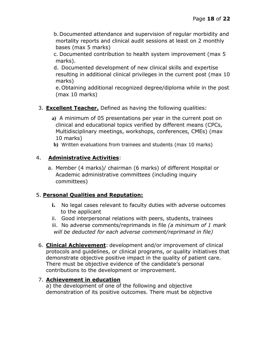b.Documented attendance and supervision of regular morbidity and mortality reports and clinical audit sessions at least on 2 monthly bases (max 5 marks)

c. Documented contribution to health system improvement (max 5 marks).

d. Documented development of new clinical skills and expertise resulting in additional clinical privileges in the current post (max 10 marks)

e.Obtaining additional recognized degree/diploma while in the post (max 10 marks)

- 3. **Excellent Teacher.** Defined as having the following qualities:
	- **a)** A minimum of 05 presentations per year in the current post on clinical and educational topics verified by different means (CPCs, Multidisciplinary meetings, workshops, conferences, CMEs) (max 10 marks)
	- **b)** Written evaluations from trainees and students (max 10 marks)

# 4. **Administrative Activities**:

a. Member (4 marks)/ chairman (6 marks) of different Hospital or Academic administrative committees (including inquiry committees)

# 5. **Personal Qualities and Reputation:**

- **i.** No legal cases relevant to faculty duties with adverse outcomes to the applicant
- ii. Good interpersonal relations with peers, students, trainees
- iii. No adverse comments/reprimands in file *(a minimum of 1 mark will be deducted for each adverse comment/reprimand in file)*
- 6. **Clinical Achievement**: development and/or improvement of clinical protocols and guidelines, or clinical programs, or quality initiatives that demonstrate objective positive impact in the quality of patient care. There must be objective evidence of the candidate's personal contributions to the development or improvement.

# 7. **Achievement in education**

a) the development of one of the following and objective demonstration of its positive outcomes. There must be objective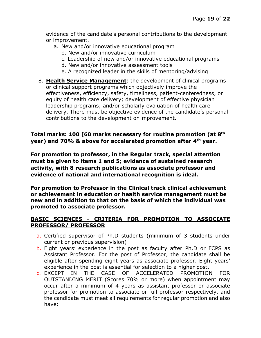evidence of the candidate's personal contributions to the development or improvement.

- a. New and/or innovative educational program
	- b. New and/or innovative curriculum
	- c. Leadership of new and/or innovative educational programs
	- d. New and/or innovative assessment tools
	- e. A recognized leader in the skills of mentoring/advising
- 8. **Health Service Management**: the development of clinical programs or clinical support programs which objectively improve the effectiveness, efficiency, safety, timeliness, patient-centeredness, or equity of health care delivery; development of effective physician leadership programs; and/or scholarly evaluation of health care delivery. There must be objective evidence of the candidate's personal contributions to the development or improvement.

**Total marks: 100 [60 marks necessary for routine promotion (at 8th year) and 70% & above for accelerated promotion after 4th year.**

**For promotion to professor, in the Regular track, special attention must be given to items 1 and 5; evidence of sustained research activity, with 8 research publications as associate professor and evidence of national and international recognition is ideal.**

**For promotion to Professor in the Clinical track clinical achievement or achievement in education or health service management must be new and in addition to that on the basis of which the individual was promoted to associate professor.**

#### **BASIC SCIENCES - CRITERIA FOR PROMOTION TO ASSOCIATE PROFESSOR/ PROFESSOR**

- a. Certified supervisor of Ph.D students (minimum of 3 students under current or previous supervision)
- b. Eight years' experience in the post as faculty after Ph.D or FCPS as Assistant Professor. For the post of Professor, the candidate shall be eligible after spending eight years as associate professor. Eight years' experience in the post is essential for selection to a higher post,
- c. EXCEPT IN THE CASE OF ACCELERATED PROMOTION FOR OUTSTANDING MERIT (Scores 70% or more) when appointment may occur after a minimum of 4 years as assistant professor or associate professor for promotion to associate or full professor respectively, and the candidate must meet all requirements for regular promotion and also have: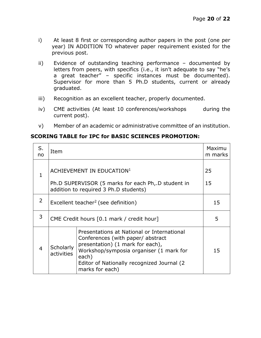- i) At least 8 first or corresponding author papers in the post (one per year) IN ADDITION TO whatever paper requirement existed for the previous post.
- ii) Evidence of outstanding teaching performance documented by letters from peers, with specifics (i.e., it isn't adequate to say "he's a great teacher" – specific instances must be documented). Supervisor for more than 5 Ph.D students, current or already graduated.
- iii) Recognition as an excellent teacher, properly documented.
- iv) CME activities (At least 10 conferences/workshops during the current post).
- v) Member of an academic or administrative committee of an institution.

#### **SCORING TABLE for IPC for BASIC SCIENCES PROMOTION:**

| S.<br>no       | Item                                            |                                                                                                                                                                                                                                           | Maximu<br>m marks |
|----------------|-------------------------------------------------|-------------------------------------------------------------------------------------------------------------------------------------------------------------------------------------------------------------------------------------------|-------------------|
| 1              |                                                 | ACHIEVEMENT IN EDUCATION <sup>1</sup>                                                                                                                                                                                                     | 25                |
|                |                                                 | Ph.D SUPERVISOR (5 marks for each Ph, D student in<br>addition to required 3 Ph.D students)                                                                                                                                               | 15                |
| $\overline{2}$ | Excellent teacher <sup>2</sup> (see definition) |                                                                                                                                                                                                                                           | 15                |
| 3              | CME Credit hours [0.1 mark / credit hour]       |                                                                                                                                                                                                                                           | 5                 |
| $\overline{4}$ | Scholarly<br>activities                         | Presentations at National or International<br>Conferences (with paper/ abstract<br>presentation) (1 mark for each),<br>Workshop/symposia organiser (1 mark for<br>each)<br>Editor of Nationally recognized Journal (2)<br>marks for each) | 15                |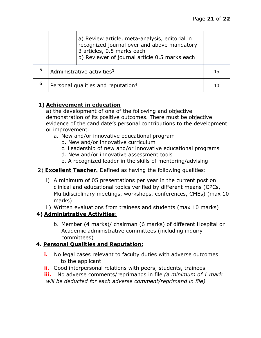|   |                                                | a) Review article, meta-analysis, editorial in<br>recognized journal over and above mandatory<br>3 articles, 0.5 marks each<br>b) Reviewer of journal article 0.5 marks each |    |
|---|------------------------------------------------|------------------------------------------------------------------------------------------------------------------------------------------------------------------------------|----|
|   |                                                | Administrative activities <sup>3</sup>                                                                                                                                       | 15 |
| 6 | Personal qualities and reputation <sup>4</sup> |                                                                                                                                                                              |    |

#### **1) Achievement in education**

a) the development of one of the following and objective demonstration of its positive outcomes. There must be objective evidence of the candidate's personal contributions to the development or improvement.

- a. New and/or innovative educational program
	- b. New and/or innovative curriculum
	- c. Leadership of new and/or innovative educational programs
	- d. New and/or innovative assessment tools
	- e. A recognized leader in the skills of mentoring/advising

#### 2) **Excellent Teacher.** Defined as having the following qualities:

- i) A minimum of 05 presentations per year in the current post on clinical and educational topics verified by different means (CPCs, Multidisciplinary meetings, workshops, conferences, CMEs) (max 10 marks)
- ii) Written evaluations from trainees and students (max 10 marks)

### **4) Administrative Activities**:

b. Member (4 marks)/ chairman (6 marks) of different Hospital or Academic administrative committees (including inquiry committees)

#### **4. Personal Qualities and Reputation:**

- **i.** No legal cases relevant to faculty duties with adverse outcomes to the applicant
- **ii.** Good interpersonal relations with peers, students, trainees

**iii.** No adverse comments/reprimands in file *(a minimum of 1 mark will be deducted for each adverse comment/reprimand in file)*